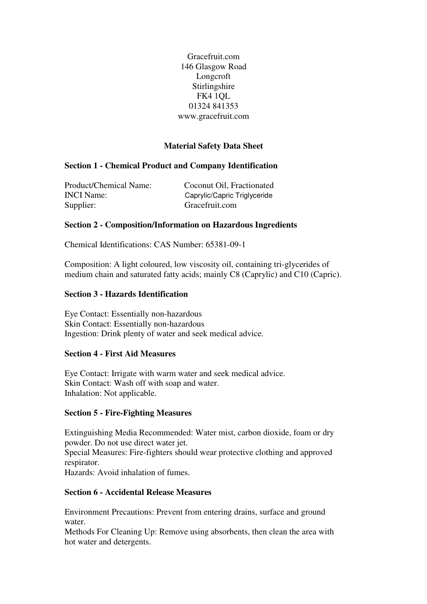Gracefruit.com 146 Glasgow Road Longcroft Stirlingshire FK4 1QL 01324 841353 www.gracefruit.com

# **Material Safety Data Sheet**

# **Section 1 - Chemical Product and Company Identification**

Product/Chemical Name: Coconut Oil, Fractionated INCI Name: Caprylic/Capric Triglyceride Supplier: Gracefruit.com

## **Section 2 - Composition/Information on Hazardous Ingredients**

Chemical Identifications: CAS Number: 65381-09-1

Composition: A light coloured, low viscosity oil, containing tri-glycerides of medium chain and saturated fatty acids; mainly C8 (Caprylic) and C10 (Capric).

## **Section 3 - Hazards Identification**

Eye Contact: Essentially non-hazardous Skin Contact: Essentially non-hazardous Ingestion: Drink plenty of water and seek medical advice.

### **Section 4 - First Aid Measures**

Eye Contact: Irrigate with warm water and seek medical advice. Skin Contact: Wash off with soap and water. Inhalation: Not applicable.

### **Section 5 - Fire-Fighting Measures**

Extinguishing Media Recommended: Water mist, carbon dioxide, foam or dry powder. Do not use direct water jet. Special Measures: Fire-fighters should wear protective clothing and approved respirator.

Hazards: Avoid inhalation of fumes.

## **Section 6 - Accidental Release Measures**

Environment Precautions: Prevent from entering drains, surface and ground water.

Methods For Cleaning Up: Remove using absorbents, then clean the area with hot water and detergents.